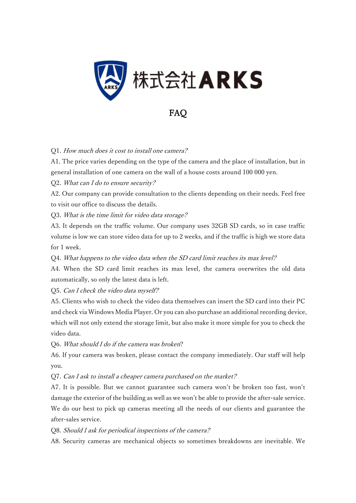

FAQ

## Q1. How much does it cost to install one camera?

A1. The price varies depending on the type of the camera and the place of installation, but in general installation of one camera on the wall of a house costs around 100 000 yen.

Q2. What can I do to ensure security?

A2. Our company can provide consultation to the clients depending on their needs. Feel free to visit our office to discuss the details.

Q3. What is the time limit for video data storage?

A3. It depends on the traffic volume. Our company uses 32GB SD cards, so in case traffic volume is low we can store video data for up to 2 weeks, and if the traffic is high we store data for 1 week.

Q4. What happens to the video data when the SD card limit reaches its max level?

A4. When the SD card limit reaches its max level, the camera overwrites the old data automatically, so only the latest data is left.

Q5. Can I check the video data myself?

A5. Clients who wish to check the video data themselves can insert the SD card into their PC and check via Windows Media Player. Or you can also purchase an additional recording device, which will not only extend the storage limit, but also make it more simple for you to check the video data.

Q6. What should I do if the camera was broken?

A6. If your camera was broken, please contact the company immediately. Our staff will help you.

Q7. Can I ask to install a cheaper camera purchased on the market?

A7. It is possible. But we cannot guarantee such camera won't be broken too fast, won't damage the exterior of the building as well as we won't be able to provide the after-sale service. We do our best to pick up cameras meeting all the needs of our clients and guarantee the after-sales service.

Q8. Should I ask for periodical inspections of the camera?

A8. Security cameras are mechanical objects so sometimes breakdowns are inevitable. We